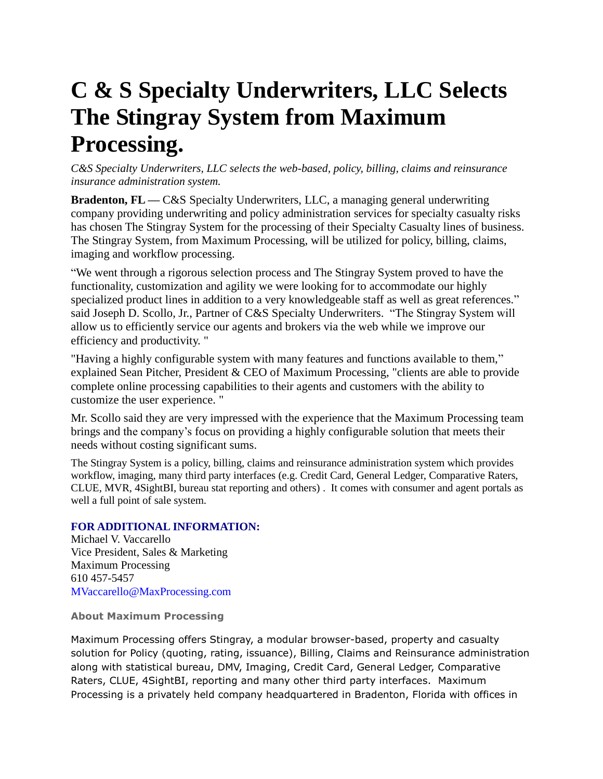## **C & S Specialty Underwriters, LLC Selects The Stingray System from Maximum Processing.**

*C&S Specialty Underwriters, LLC selects the web-based, policy, billing, claims and reinsurance insurance administration system.* 

**Bradenton, FL — C&S** Specialty Underwriters, LLC, a managing general underwriting company providing underwriting and policy administration services for specialty casualty risks has chosen The Stingray System for the processing of their Specialty Casualty lines of business. The Stingray System, from Maximum Processing, will be utilized for policy, billing, claims, imaging and workflow processing.

"We went through a rigorous selection process and The Stingray System proved to have the functionality, customization and agility we were looking for to accommodate our highly specialized product lines in addition to a very knowledgeable staff as well as great references." said Joseph D. Scollo, Jr., Partner of C&S Specialty Underwriters. "The Stingray System will allow us to efficiently service our agents and brokers via the web while we improve our efficiency and productivity. "

"Having a highly configurable system with many features and functions available to them," explained Sean Pitcher, President & CEO of Maximum Processing, "clients are able to provide complete online processing capabilities to their agents and customers with the ability to customize the user experience. "

Mr. Scollo said they are very impressed with the experience that the Maximum Processing team brings and the company's focus on providing a highly configurable solution that meets their needs without costing significant sums.

The Stingray System is a policy, billing, claims and reinsurance administration system which provides workflow, imaging, many third party interfaces (e.g. Credit Card, General Ledger, Comparative Raters, CLUE, MVR, 4SightBI, bureau stat reporting and others) . It comes with consumer and agent portals as well a full point of sale system.

## **FOR ADDITIONAL INFORMATION:**

Michael V. Vaccarello Vice President, Sales & Marketing Maximum Processing 610 457-5457 MVaccarello@MaxProcessing.com

**About Maximum Processing**

Maximum Processing offers Stingray, a modular browser-based, property and casualty solution for Policy (quoting, rating, issuance), Billing, Claims and Reinsurance administration along with statistical bureau, DMV, Imaging, Credit Card, General Ledger, Comparative Raters, CLUE, 4SightBI, reporting and many other third party interfaces. Maximum Processing is a privately held company headquartered in Bradenton, Florida with offices in